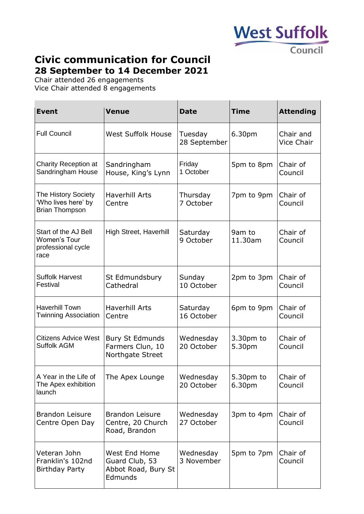

## **Civic communication for Council 28 September to 14 December 2021**

Chair attended 26 engagements Vice Chair attended 8 engagements

| <b>Event</b>                                                               | <b>Venue</b>                                                      | <b>Date</b>             | <b>Time</b>         | <b>Attending</b>        |
|----------------------------------------------------------------------------|-------------------------------------------------------------------|-------------------------|---------------------|-------------------------|
| <b>Full Council</b>                                                        | <b>West Suffolk House</b>                                         | Tuesday<br>28 September | 6.30pm              | Chair and<br>Vice Chair |
| <b>Charity Reception at</b><br>Sandringham House                           | Sandringham<br>House, King's Lynn                                 | Friday<br>1 October     | 5pm to 8pm          | Chair of<br>Council     |
| <b>The History Society</b><br>'Who lives here' by<br><b>Brian Thompson</b> | <b>Haverhill Arts</b><br>Centre                                   | Thursday<br>7 October   | 7pm to 9pm          | Chair of<br>Council     |
| Start of the AJ Bell<br>Women's Tour<br>professional cycle<br>race         | <b>High Street, Haverhill</b>                                     | Saturday<br>9 October   | 9am to<br>11.30am   | Chair of<br>Council     |
| <b>Suffolk Harvest</b><br>Festival                                         | St Edmundsbury<br>Cathedral                                       | Sunday<br>10 October    | 2pm to 3pm          | Chair of<br>Council     |
| <b>Haverhill Town</b><br><b>Twinning Association</b>                       | <b>Haverhill Arts</b><br>Centre                                   | Saturday<br>16 October  | 6pm to 9pm          | Chair of<br>Council     |
| <b>Citizens Advice West</b><br>Suffolk AGM                                 | <b>Bury St Edmunds</b><br>Farmers Clun, 10<br>Northgate Street    | Wednesday<br>20 October | 3.30pm to<br>5.30pm | Chair of<br>Council     |
| A Year in the Life of<br>The Apex exhibition<br>launch                     | The Apex Lounge                                                   | Wednesday<br>20 October | 5.30pm to<br>6.30pm | Chair of<br>Council     |
| <b>Brandon Leisure</b><br>Centre Open Day                                  | <b>Brandon Leisure</b><br>Centre, 20 Church<br>Road, Brandon      | Wednesday<br>27 October | 3pm to 4pm          | Chair of<br>Council     |
| Veteran John<br>Franklin's 102nd<br><b>Birthday Party</b>                  | West End Home<br>Guard Club, 53<br>Abbot Road, Bury St<br>Edmunds | Wednesday<br>3 November | 5pm to 7pm          | Chair of<br>Council     |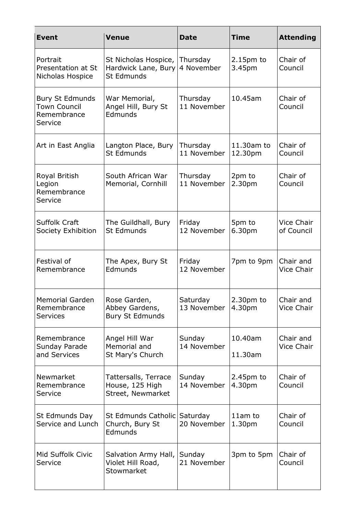| <b>Event</b>                                                            | <b>Venue</b>                                                 | <b>Date</b>             | <b>Time</b>                   | <b>Attending</b>               |
|-------------------------------------------------------------------------|--------------------------------------------------------------|-------------------------|-------------------------------|--------------------------------|
| Portrait<br>Presentation at St<br>Nicholas Hospice                      | St Nicholas Hospice,<br>Hardwick Lane, Bury<br>St Edmunds    | Thursday<br>4 November  | $2.15pm$ to<br>3.45pm         | Chair of<br>Council            |
| <b>Bury St Edmunds</b><br><b>Town Council</b><br>Remembrance<br>Service | War Memorial,<br>Angel Hill, Bury St<br>Edmunds              | Thursday<br>11 November | 10.45am                       | Chair of<br>Council            |
| Art in East Anglia                                                      | Langton Place, Bury<br><b>St Edmunds</b>                     | Thursday<br>11 November | 11.30am to<br>12.30pm         | Chair of<br>Council            |
| Royal British<br>Legion<br>Remembrance<br>Service                       | South African War<br>Memorial, Cornhill                      | Thursday<br>11 November | 2pm to<br>2.30pm              | Chair of<br>Council            |
| <b>Suffolk Craft</b><br>Society Exhibition                              | The Guildhall, Bury<br><b>St Edmunds</b>                     | Friday<br>12 November   | 5pm to<br>6.30pm              | Vice Chair<br>of Council       |
| Festival of<br>Remembrance                                              | The Apex, Bury St<br>Edmunds                                 | Friday<br>12 November   | 7pm to 9pm                    | Chair and<br>Vice Chair        |
| <b>Memorial Garden</b><br>Remembrance<br><b>Services</b>                | Rose Garden,<br>Abbey Gardens,<br><b>Bury St Edmunds</b>     | Saturday<br>13 November | 2.30pm to<br>4.30pm           | Chair and<br>Vice Chair        |
| Remembrance<br>Sunday Parade<br>and Services                            | Angel Hill War<br>Memorial and<br>St Mary's Church           | Sunday<br>14 November   | 10.40am<br>11.30am            | Chair and<br><b>Vice Chair</b> |
| Newmarket<br>Remembrance<br>Service                                     | Tattersalls, Terrace<br>House, 125 High<br>Street, Newmarket | Sunday<br>14 November   | $2.45pm$ to<br>4.30pm         | Chair of<br>Council            |
| St Edmunds Day<br>Service and Lunch                                     | St Edmunds Catholic   Saturday<br>Church, Bury St<br>Edmunds | 20 November             | 11am to<br>1.30 <sub>pm</sub> | Chair of<br>Council            |
| Mid Suffolk Civic<br>Service                                            | Salvation Army Hall,<br>Violet Hill Road,<br>Stowmarket      | Sunday<br>21 November   | 3pm to 5pm                    | Chair of<br>Council            |